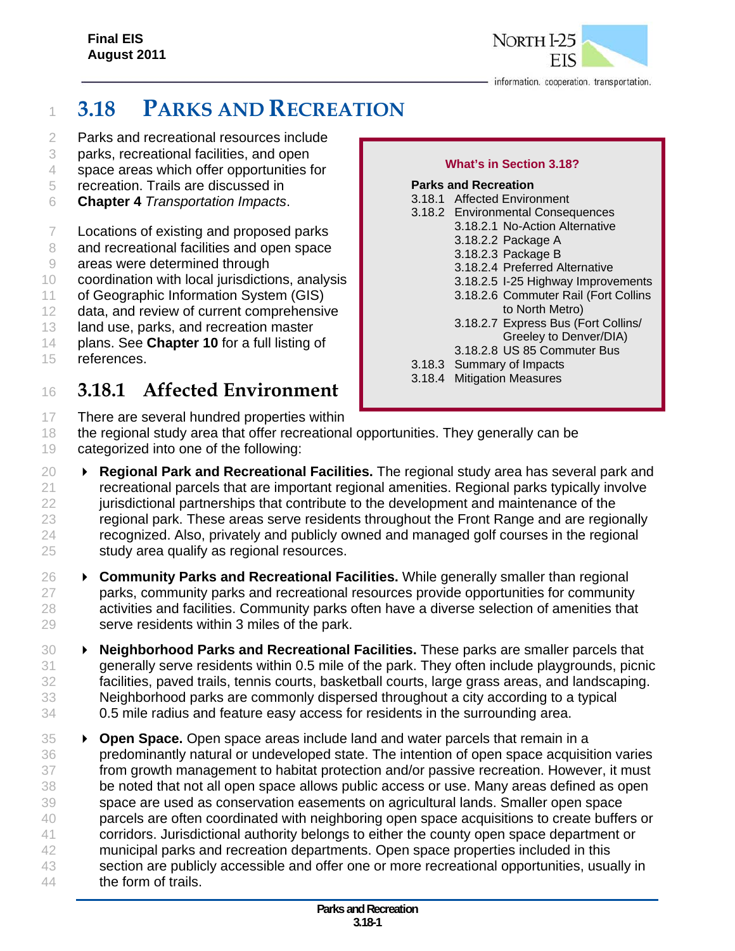

# **3.18 PARKS AND RECREATION**

- Parks and recreational resources include
- parks, recreational facilities, and open
- space areas which offer opportunities for
- recreation. Trails are discussed in
- **Chapter 4** *Transportation Impacts*.
- Locations of existing and proposed parks
- 8 and recreational facilities and open space
- areas were determined through
- coordination with local jurisdictions, analysis
- of Geographic Information System (GIS)
- data, and review of current comprehensive
- 13 land use, parks, and recreation master
- plans. See **Chapter 10** for a full listing of
- references.

## **3.18.1 Affected Environment**

There are several hundred properties within

#### **What's in Section 3.18?**

#### **Parks and Recreation**  3.18.1 Affected Environment 3.18.2 Environmental Consequences 3.18.2.1 No-Action Alternative 3.18.2.2 Package A 3.18.2.3 Package B 3.18.2.4 Preferred Alternative 3.18.2.5 I-25 Highway Improvements 3.18.2.6 Commuter Rail (Fort Collins to North Metro) 3.18.2.7 Express Bus (Fort Collins/ Greeley to Denver/DIA) 3.18.2.8 US 85 Commuter Bus 3.18.3 Summary of Impacts 3.18.4 Mitigation Measures

- the regional study area that offer recreational opportunities. They generally can be categorized into one of the following:
- **Regional Park and Recreational Facilities.** The regional study area has several park and recreational parcels that are important regional amenities. Regional parks typically involve jurisdictional partnerships that contribute to the development and maintenance of the regional park. These areas serve residents throughout the Front Range and are regionally recognized. Also, privately and publicly owned and managed golf courses in the regional study area qualify as regional resources.
- **Community Parks and Recreational Facilities.** While generally smaller than regional parks, community parks and recreational resources provide opportunities for community activities and facilities. Community parks often have a diverse selection of amenities that serve residents within 3 miles of the park.
- **Neighborhood Parks and Recreational Facilities.** These parks are smaller parcels that generally serve residents within 0.5 mile of the park. They often include playgrounds, picnic facilities, paved trails, tennis courts, basketball courts, large grass areas, and landscaping. Neighborhood parks are commonly dispersed throughout a city according to a typical 0.5 mile radius and feature easy access for residents in the surrounding area.
- **Open Space.** Open space areas include land and water parcels that remain in a predominantly natural or undeveloped state. The intention of open space acquisition varies from growth management to habitat protection and/or passive recreation. However, it must be noted that not all open space allows public access or use. Many areas defined as open space are used as conservation easements on agricultural lands. Smaller open space 40 parcels are often coordinated with neighboring open space acquisitions to create buffers or corridors. Jurisdictional authority belongs to either the county open space department or municipal parks and recreation departments. Open space properties included in this 43 section are publicly accessible and offer one or more recreational opportunities, usually in the form of trails.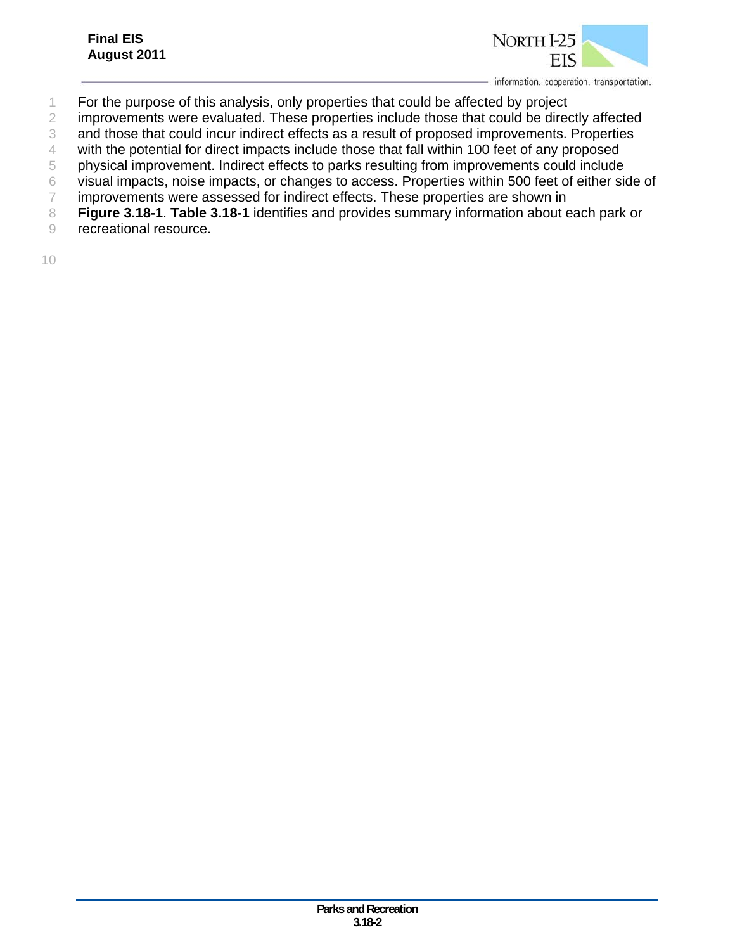

- 1 For the purpose of this analysis, only properties that could be affected by project
- 2 improvements were evaluated. These properties include those that could be directly affected
- 3 and those that could incur indirect effects as a result of proposed improvements. Properties
- 4 with the potential for direct impacts include those that fall within 100 feet of any proposed
- 5 physical improvement. Indirect effects to parks resulting from improvements could include
- 6 visual impacts, noise impacts, or changes to access. Properties within 500 feet of either side of
- 7 improvements were assessed for indirect effects. These properties are shown in
- 8 **Figure 3.18-1**. **Table 3.18-1** identifies and provides summary information about each park or
- 9 recreational resource.
- 10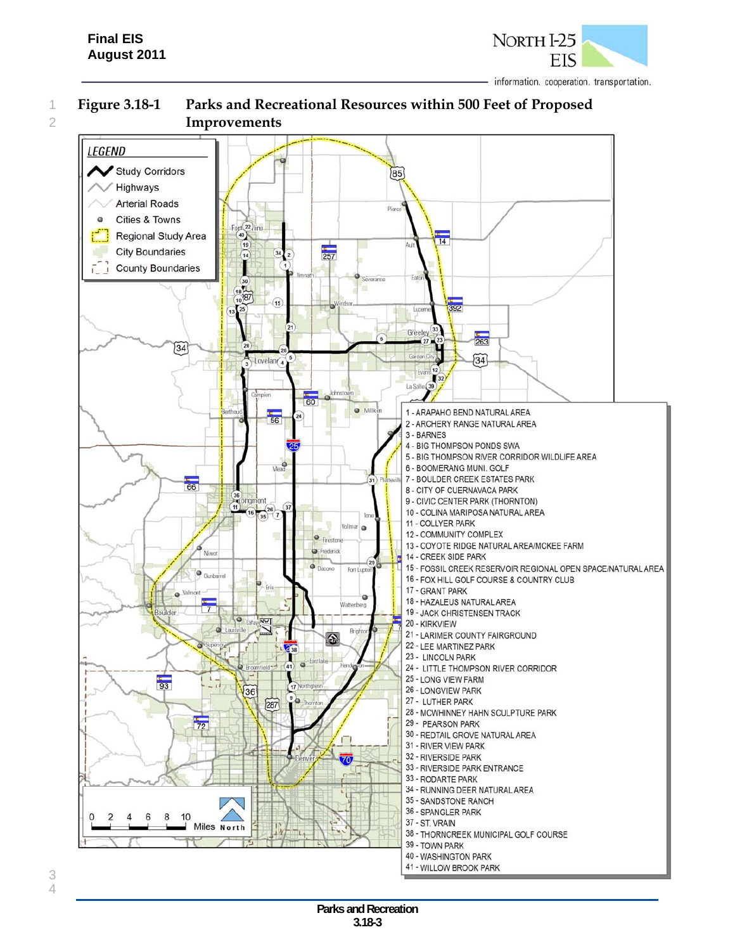

## 1 **Figure 3.18-1 Parks and Recreational Resources within 500 Feet of Proposed**  2 **Improvements**

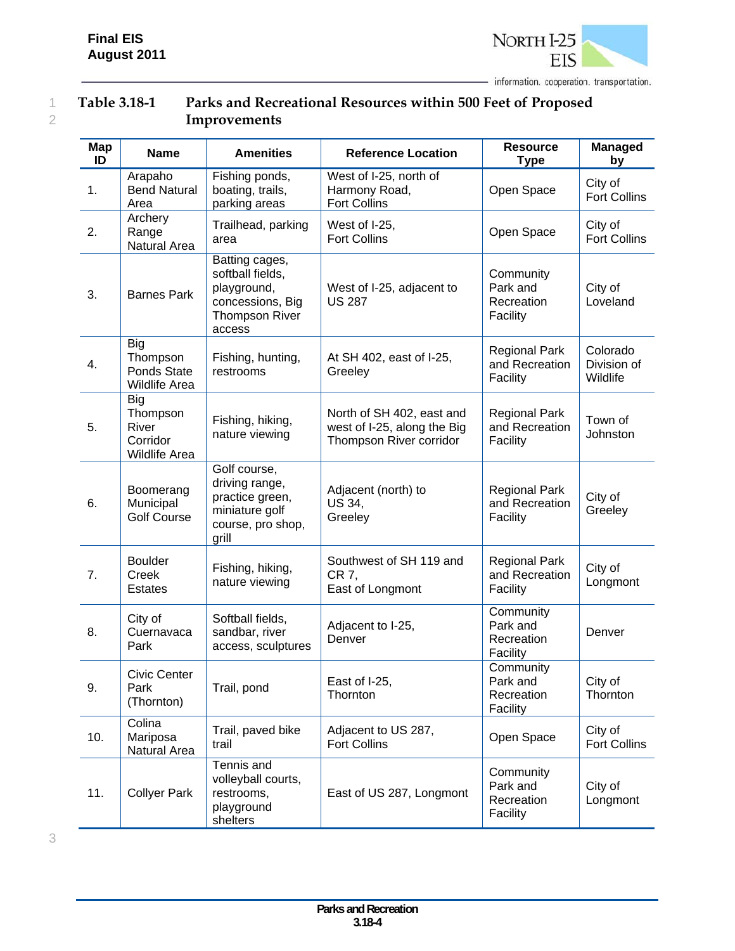

## 1 **Table 3.18-1 Parks and Recreational Resources within 500 Feet of Proposed**  2 **Improvements**

|  |  | e v |
|--|--|-----|
|  |  |     |

| Map<br>ID | <b>Name</b>                                            | <b>Amenities</b>                                                                                  | <b>Reference Location</b>                                                           | <b>Resource</b><br><b>Type</b>                     | <b>Managed</b><br>by                |
|-----------|--------------------------------------------------------|---------------------------------------------------------------------------------------------------|-------------------------------------------------------------------------------------|----------------------------------------------------|-------------------------------------|
| 1.        | Arapaho<br><b>Bend Natural</b><br>Area                 | Fishing ponds,<br>boating, trails,<br>parking areas                                               | West of I-25, north of<br>Harmony Road,<br><b>Fort Collins</b>                      | Open Space                                         | City of<br><b>Fort Collins</b>      |
| 2.        | Archery<br>Range<br>Natural Area                       | Trailhead, parking<br>area                                                                        | West of I-25,<br><b>Fort Collins</b>                                                | Open Space                                         | City of<br><b>Fort Collins</b>      |
| 3.        | <b>Barnes Park</b>                                     | Batting cages,<br>softball fields,<br>playground,<br>concessions, Big<br>Thompson River<br>access | West of I-25, adjacent to<br><b>US 287</b>                                          | Community<br>Park and<br>Recreation<br>Facility    | City of<br>Loveland                 |
| 4.        | <b>Big</b><br>Thompson<br>Ponds State<br>Wildlife Area | Fishing, hunting,<br>restrooms                                                                    | At SH 402, east of I-25,<br>Greeley                                                 | <b>Regional Park</b><br>and Recreation<br>Facility | Colorado<br>Division of<br>Wildlife |
| 5.        | Big<br>Thompson<br>River<br>Corridor<br>Wildlife Area  | Fishing, hiking,<br>nature viewing                                                                | North of SH 402, east and<br>west of I-25, along the Big<br>Thompson River corridor | <b>Regional Park</b><br>and Recreation<br>Facility | Town of<br>Johnston                 |
| 6.        | Boomerang<br>Municipal<br><b>Golf Course</b>           | Golf course,<br>driving range,<br>practice green,<br>miniature golf<br>course, pro shop,<br>grill | Adjacent (north) to<br><b>US 34,</b><br>Greeley                                     | <b>Regional Park</b><br>and Recreation<br>Facility | City of<br>Greeley                  |
| 7.        | <b>Boulder</b><br>Creek<br>Estates                     | Fishing, hiking,<br>nature viewing                                                                | Southwest of SH 119 and<br>CR 7,<br>East of Longmont                                | <b>Regional Park</b><br>and Recreation<br>Facility | City of<br>Longmont                 |
| 8.        | City of<br>Cuernavaca<br>Park                          | Softball fields,<br>sandbar, river<br>access, sculptures                                          | Adjacent to I-25,<br>Denver                                                         | Community<br>Park and<br>Recreation<br>Facility    | Denver                              |
| 9.        | <b>Civic Center</b><br>Park<br>(Thornton)              | Trail, pond                                                                                       | East of I-25,<br>Thornton                                                           | Community<br>Park and<br>Recreation<br>Facility    | City of<br>Thornton                 |
| 10.       | Colina<br>Mariposa<br>Natural Area                     | Trail, paved bike<br>trail                                                                        | Adjacent to US 287,<br><b>Fort Collins</b>                                          | Open Space                                         | City of<br>Fort Collins             |
| 11.       | <b>Collyer Park</b>                                    | Tennis and<br>volleyball courts,<br>restrooms,<br>playground<br>shelters                          | East of US 287, Longmont                                                            | Community<br>Park and<br>Recreation<br>Facility    | City of<br>Longmont                 |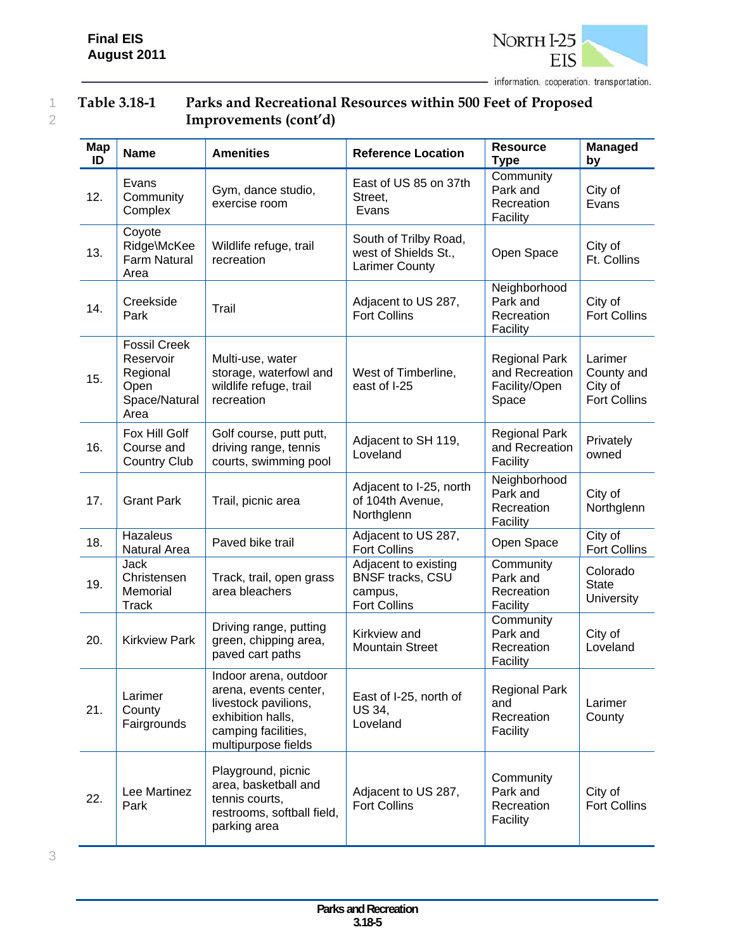

## 1 **Table 3.18-1 Parks and Recreational Resources within 500 Feet of Proposed**  2 **Improvements (cont'd)**

| <b>Map</b><br>ID | <b>Name</b>                                                                   | <b>Amenities</b>                                                                                                                          | <b>Reference Location</b>                                                         | <b>Resource</b><br><b>Type</b>                                   | <b>Managed</b><br>by                                    |
|------------------|-------------------------------------------------------------------------------|-------------------------------------------------------------------------------------------------------------------------------------------|-----------------------------------------------------------------------------------|------------------------------------------------------------------|---------------------------------------------------------|
| 12.              | Evans<br>Community<br>Complex                                                 | Gym, dance studio,<br>exercise room                                                                                                       | East of US 85 on 37th<br>Street,<br>Evans                                         | Community<br>Park and<br>Recreation<br>Facility                  | City of<br>Evans                                        |
| 13.              | Coyote<br>Ridge\McKee<br><b>Farm Natural</b><br>Area                          | Wildlife refuge, trail<br>recreation                                                                                                      | South of Trilby Road,<br>west of Shields St.,<br><b>Larimer County</b>            | Open Space                                                       | City of<br>Ft. Collins                                  |
| 14.              | Creekside<br>Park                                                             | Trail                                                                                                                                     | Adjacent to US 287,<br><b>Fort Collins</b>                                        | Neighborhood<br>Park and<br>Recreation<br>Facility               | City of<br><b>Fort Collins</b>                          |
| 15.              | <b>Fossil Creek</b><br>Reservoir<br>Regional<br>Open<br>Space/Natural<br>Area | Multi-use, water<br>storage, waterfowl and<br>wildlife refuge, trail<br>recreation                                                        | West of Timberline,<br>east of I-25                                               | <b>Regional Park</b><br>and Recreation<br>Facility/Open<br>Space | Larimer<br>County and<br>City of<br><b>Fort Collins</b> |
| 16.              | Fox Hill Golf<br>Course and<br><b>Country Club</b>                            | Golf course, putt putt,<br>driving range, tennis<br>courts, swimming pool                                                                 | Adjacent to SH 119,<br>Loveland                                                   | <b>Regional Park</b><br>and Recreation<br>Facility               | Privately<br>owned                                      |
| 17.              | <b>Grant Park</b>                                                             | Trail, picnic area                                                                                                                        | Adjacent to I-25, north<br>of 104th Avenue,<br>Northglenn                         | Neighborhood<br>Park and<br>Recreation<br>Facility               | City of<br>Northglenn                                   |
| 18.              | Hazaleus<br>Natural Area                                                      | Paved bike trail                                                                                                                          | Adjacent to US 287,<br><b>Fort Collins</b>                                        | Open Space                                                       | City of<br>Fort Collins                                 |
| 19.              | Jack<br>Christensen<br>Memorial<br><b>Track</b>                               | Track, trail, open grass<br>area bleachers                                                                                                | Adjacent to existing<br><b>BNSF tracks, CSU</b><br>campus,<br><b>Fort Collins</b> | Community<br>Park and<br>Recreation<br>Facility                  | Colorado<br><b>State</b><br><b>University</b>           |
| 20.              | <b>Kirkview Park</b>                                                          | Driving range, putting<br>green, chipping area,<br>paved cart paths                                                                       | Kirkview and<br><b>Mountain Street</b>                                            | Community<br>Park and<br>Recreation<br>Facility                  | City of<br>Loveland                                     |
| 21.              | Larimer<br>County<br>Fairgrounds                                              | Indoor arena, outdoor<br>arena, events center,<br>livestock pavilions,<br>exhibition halls,<br>camping facilities,<br>multipurpose fields | East of I-25, north of<br>US 34,<br>Loveland                                      | <b>Regional Park</b><br>and<br>Recreation<br>Facility            | Larimer<br>County                                       |
| 22.              | Lee Martinez<br>Park                                                          | Playground, picnic<br>area, basketball and<br>tennis courts,<br>restrooms, softball field,<br>parking area                                | Adjacent to US 287,<br><b>Fort Collins</b>                                        | Community<br>Park and<br>Recreation<br>Facility                  | City of<br><b>Fort Collins</b>                          |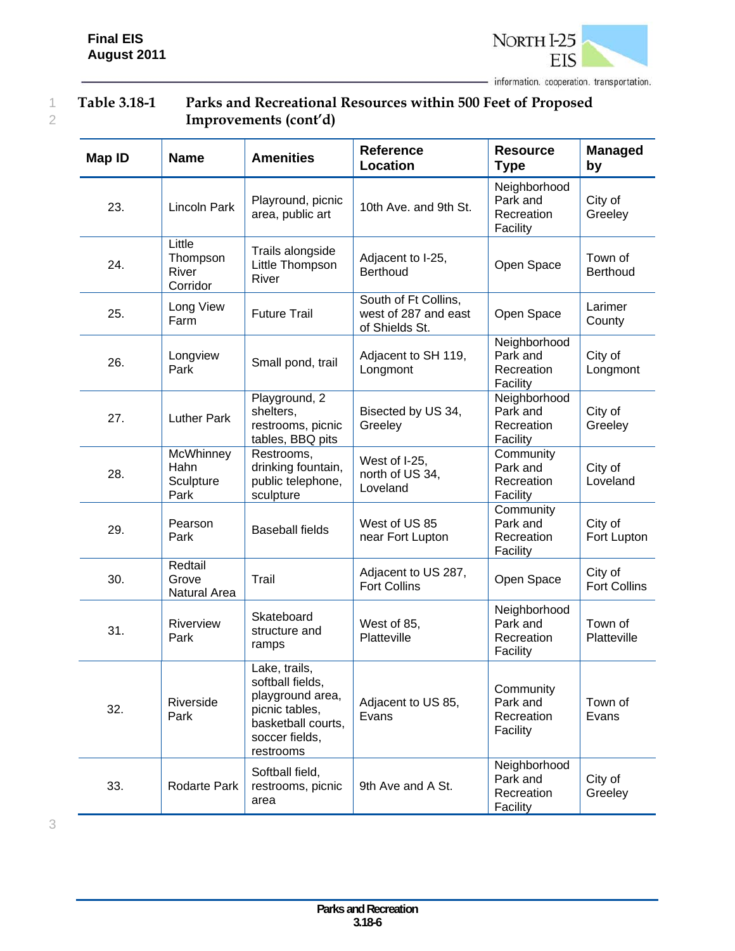

#### 1 **Table 3.18-1 Parks and Recreational Resources within 500 Feet of Proposed**  2 **Improvements (cont'd)**

| <b>Map ID</b> | <b>Name</b>                             | <b>Amenities</b>                                                                                                             | <b>Reference</b><br><b>Location</b>                            | <b>Resource</b><br><b>Type</b>                     | <b>Managed</b><br>by           |
|---------------|-----------------------------------------|------------------------------------------------------------------------------------------------------------------------------|----------------------------------------------------------------|----------------------------------------------------|--------------------------------|
| 23.           | <b>Lincoln Park</b>                     | Playround, picnic<br>area, public art                                                                                        | 10th Ave. and 9th St.                                          | Neighborhood<br>Park and<br>Recreation<br>Facility | City of<br>Greeley             |
| 24.           | Little<br>Thompson<br>River<br>Corridor | Trails alongside<br>Little Thompson<br>River                                                                                 | Adjacent to I-25,<br>Berthoud                                  | Open Space                                         | Town of<br><b>Berthoud</b>     |
| 25.           | Long View<br>Farm                       | <b>Future Trail</b>                                                                                                          | South of Ft Collins,<br>west of 287 and east<br>of Shields St. | Open Space                                         | Larimer<br>County              |
| 26.           | Longview<br>Park                        | Small pond, trail                                                                                                            | Adjacent to SH 119,<br>Longmont                                | Neighborhood<br>Park and<br>Recreation<br>Facility | City of<br>Longmont            |
| 27.           | <b>Luther Park</b>                      | Playground, 2<br>shelters,<br>restrooms, picnic<br>tables, BBQ pits                                                          | Bisected by US 34,<br>Greeley                                  | Neighborhood<br>Park and<br>Recreation<br>Facility | City of<br>Greeley             |
| 28.           | McWhinney<br>Hahn<br>Sculpture<br>Park  | Restrooms,<br>drinking fountain,<br>public telephone,<br>sculpture                                                           | West of I-25,<br>north of US 34,<br>Loveland                   | Community<br>Park and<br>Recreation<br>Facility    | City of<br>Loveland            |
| 29.           | Pearson<br>Park                         | <b>Baseball fields</b>                                                                                                       | West of US 85<br>near Fort Lupton                              | Community<br>Park and<br>Recreation<br>Facility    | City of<br>Fort Lupton         |
| 30.           | Redtail<br>Grove<br>Natural Area        | Trail                                                                                                                        | Adjacent to US 287,<br><b>Fort Collins</b>                     | Open Space                                         | City of<br><b>Fort Collins</b> |
| 31.           | Riverview<br>Park                       | Skateboard<br>structure and<br>ramps                                                                                         | West of 85,<br>Platteville                                     | Neighborhood<br>Park and<br>Recreation<br>Facility | Town of<br>Platteville         |
| 32.           | Riverside<br>Park                       | Lake, trails,<br>softball fields,<br>playground area,<br>picnic tables,<br>basketball courts,<br>soccer fields,<br>restrooms | Adjacent to US 85,<br>Evans                                    | Community<br>Park and<br>Recreation<br>Facility    | Town of<br>Evans               |
| 33.           | Rodarte Park                            | Softball field,<br>restrooms, picnic<br>area                                                                                 | 9th Ave and A St.                                              | Neighborhood<br>Park and<br>Recreation<br>Facility | City of<br>Greeley             |

3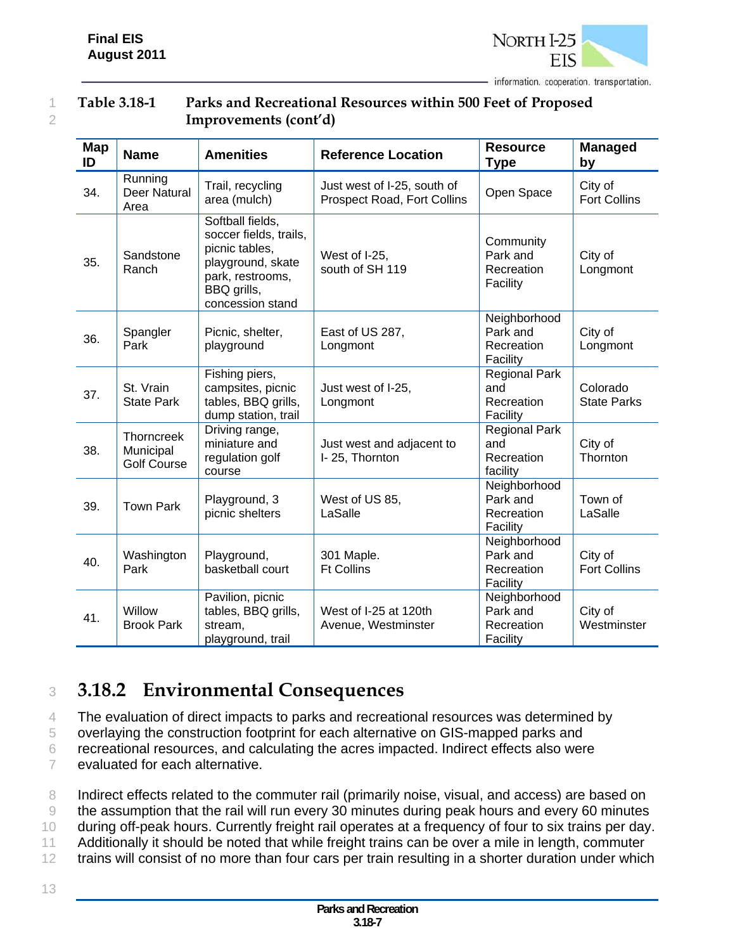

#### 1 **Table 3.18-1 Parks and Recreational Resources within 500 Feet of Proposed**  2 **Improvements (cont'd)**

| Map<br>ID | <b>Name</b>                                   | <b>Amenities</b>                                                                                                                         | <b>Reference Location</b>                                  | <b>Resource</b><br><b>Type</b>                        | <b>Managed</b><br>by           |
|-----------|-----------------------------------------------|------------------------------------------------------------------------------------------------------------------------------------------|------------------------------------------------------------|-------------------------------------------------------|--------------------------------|
| 34.       | Running<br><b>Deer Natural</b><br>Area        | Trail, recycling<br>area (mulch)                                                                                                         | Just west of I-25, south of<br>Prospect Road, Fort Collins | Open Space                                            | City of<br><b>Fort Collins</b> |
| 35.       | Sandstone<br>Ranch                            | Softball fields,<br>soccer fields, trails,<br>picnic tables,<br>playground, skate<br>park, restrooms,<br>BBQ grills,<br>concession stand | West of I-25,<br>south of SH 119                           | Community<br>Park and<br>Recreation<br>Facility       | City of<br>Longmont            |
| 36.       | Spangler<br>Park                              | Picnic, shelter,<br>playground                                                                                                           | East of US 287,<br>Longmont                                | Neighborhood<br>Park and<br>Recreation<br>Facility    | City of<br>Longmont            |
| 37.       | St. Vrain<br><b>State Park</b>                | Fishing piers,<br>campsites, picnic<br>tables, BBQ grills,<br>dump station, trail                                                        | Just west of I-25,<br>Longmont                             | <b>Regional Park</b><br>and<br>Recreation<br>Facility | Colorado<br><b>State Parks</b> |
| 38.       | Thorncreek<br>Municipal<br><b>Golf Course</b> | Driving range,<br>miniature and<br>regulation golf<br>course                                                                             | Just west and adjacent to<br>I-25, Thornton                | <b>Regional Park</b><br>and<br>Recreation<br>facility | City of<br>Thornton            |
| 39.       | <b>Town Park</b>                              | Playground, 3<br>picnic shelters                                                                                                         | West of US 85,<br>LaSalle                                  | Neighborhood<br>Park and<br>Recreation<br>Facility    | Town of<br>LaSalle             |
| 40.       | Washington<br>Park                            | Playground,<br>basketball court                                                                                                          | 301 Maple.<br><b>Ft Collins</b>                            | Neighborhood<br>Park and<br>Recreation<br>Facility    | City of<br><b>Fort Collins</b> |
| 41.       | Willow<br><b>Brook Park</b>                   | Pavilion, picnic<br>tables, BBQ grills,<br>stream,<br>playground, trail                                                                  | West of I-25 at 120th<br>Avenue, Westminster               | Neighborhood<br>Park and<br>Recreation<br>Facility    | City of<br>Westminster         |

## <sup>3</sup> **3.18.2 Environmental Consequences**

4 The evaluation of direct impacts to parks and recreational resources was determined by

5 overlaying the construction footprint for each alternative on GIS-mapped parks and

6 recreational resources, and calculating the acres impacted. Indirect effects also were

7 evaluated for each alternative.

8 Indirect effects related to the commuter rail (primarily noise, visual, and access) are based on 9 the assumption that the rail will run every 30 minutes during peak hours and every 60 minutes 10 during off-peak hours. Currently freight rail operates at a frequency of four to six trains per day. 11 Additionally it should be noted that while freight trains can be over a mile in length, commuter 12 trains will consist of no more than four cars per train resulting in a shorter duration under which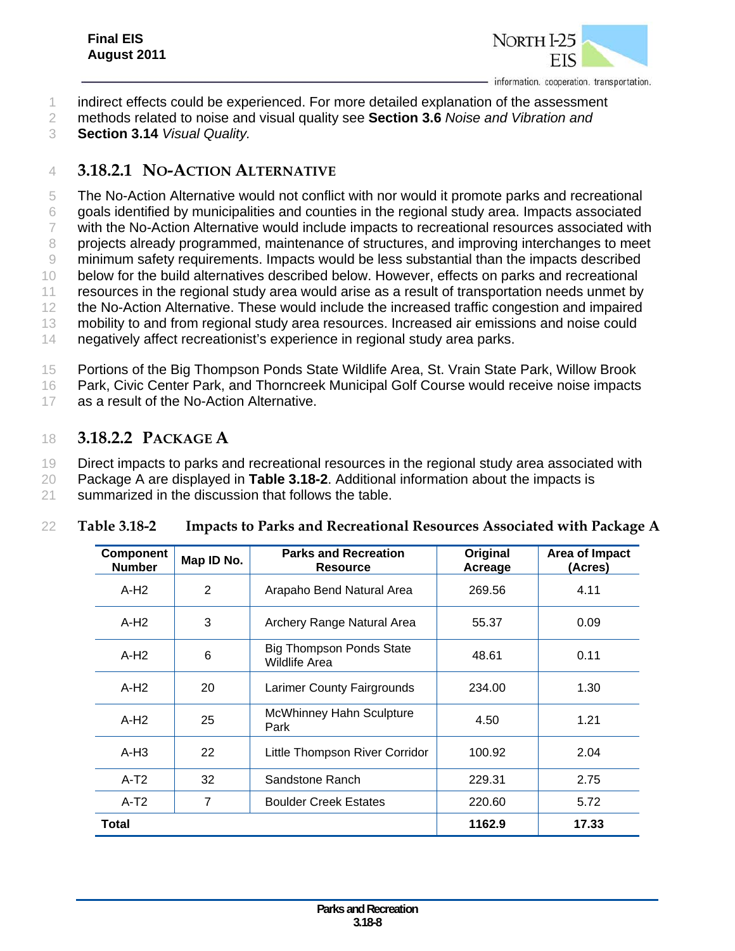

1 indirect effects could be experienced. For more detailed explanation of the assessment

- 2 methods related to noise and visual quality see **Section 3.6** *Noise and Vibration and*
- 3 **Section 3.14** *Visual Quality.*

## 4 **3.18.2.1 NO-ACTION ALTERNATIVE**

 The No-Action Alternative would not conflict with nor would it promote parks and recreational goals identified by municipalities and counties in the regional study area. Impacts associated with the No-Action Alternative would include impacts to recreational resources associated with projects already programmed, maintenance of structures, and improving interchanges to meet minimum safety requirements. Impacts would be less substantial than the impacts described below for the build alternatives described below. However, effects on parks and recreational resources in the regional study area would arise as a result of transportation needs unmet by the No-Action Alternative. These would include the increased traffic congestion and impaired mobility to and from regional study area resources. Increased air emissions and noise could negatively affect recreationist's experience in regional study area parks.

15 Portions of the Big Thompson Ponds State Wildlife Area, St. Vrain State Park, Willow Brook

16 Park, Civic Center Park, and Thorncreek Municipal Golf Course would receive noise impacts

17 as a result of the No-Action Alternative.

## 18 **3.18.2.2 PACKAGE A**

19 Direct impacts to parks and recreational resources in the regional study area associated with

20 Package A are displayed in **Table 3.18-2**. Additional information about the impacts is

21 summarized in the discussion that follows the table.

| <b>Component</b><br><b>Number</b> | Map ID No.            | <b>Parks and Recreation</b><br><b>Resource</b>   | Original<br>Acreage | Area of Impact<br>(Acres) |
|-----------------------------------|-----------------------|--------------------------------------------------|---------------------|---------------------------|
| $A-H2$                            | 2                     | Arapaho Bend Natural Area                        | 269.56              | 4.11                      |
| $A-H2$                            | 3                     | Archery Range Natural Area                       | 55.37               | 0.09                      |
| $A-H2$                            | 6                     | <b>Big Thompson Ponds State</b><br>Wildlife Area | 48.61               | 0.11                      |
| $A-H2$                            | 20                    | Larimer County Fairgrounds                       | 234.00              | 1.30                      |
| $A-H2$                            | 25                    | McWhinney Hahn Sculpture<br>Park                 | 4.50                | 1.21                      |
| $A-H3$                            | 22                    | Little Thompson River Corridor                   | 100.92              | 2.04                      |
| $A-T2$                            | 32<br>Sandstone Ranch |                                                  | 229.31              | 2.75                      |
| $A-T2$                            | 7                     | <b>Boulder Creek Estates</b>                     | 220.60              | 5.72                      |
| Total                             |                       |                                                  | 1162.9              | 17.33                     |

#### 22 **Table 3.18-2 Impacts to Parks and Recreational Resources Associated with Package A**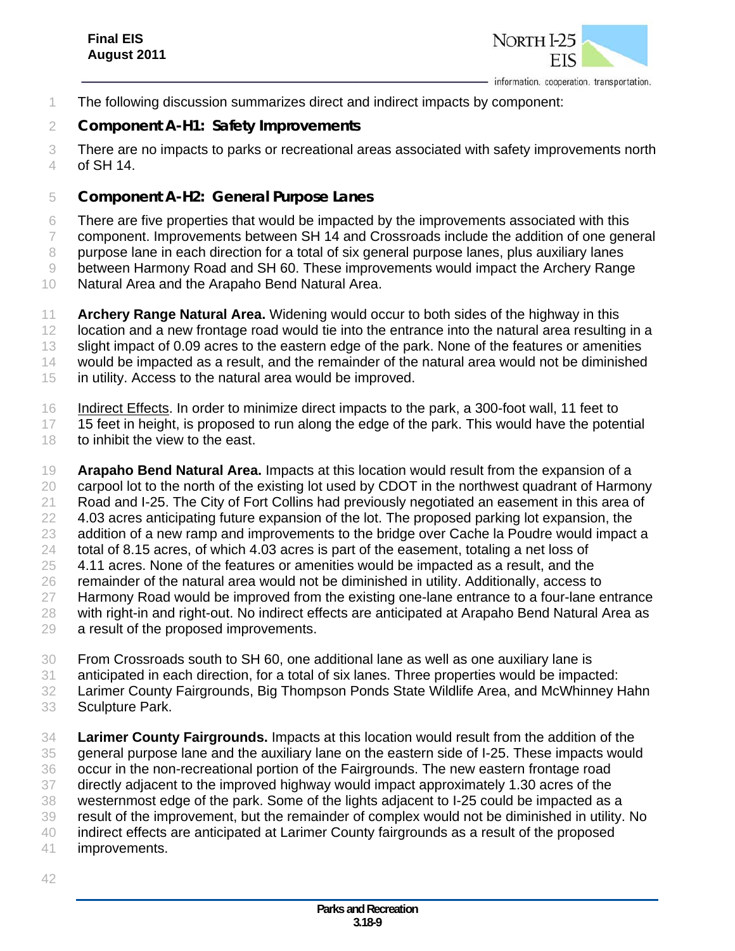

The following discussion summarizes direct and indirect impacts by component:

#### *Component A-H1: Safety Improvements*

 There are no impacts to parks or recreational areas associated with safety improvements north of SH 14.

#### *Component A-H2: General Purpose Lanes*

 There are five properties that would be impacted by the improvements associated with this component. Improvements between SH 14 and Crossroads include the addition of one general purpose lane in each direction for a total of six general purpose lanes, plus auxiliary lanes between Harmony Road and SH 60. These improvements would impact the Archery Range Natural Area and the Arapaho Bend Natural Area.

 **Archery Range Natural Area.** Widening would occur to both sides of the highway in this 12 location and a new frontage road would tie into the entrance into the natural area resulting in a slight impact of 0.09 acres to the eastern edge of the park. None of the features or amenities would be impacted as a result, and the remainder of the natural area would not be diminished in utility. Access to the natural area would be improved.

Indirect Effects. In order to minimize direct impacts to the park, a 300-foot wall, 11 feet to

17 15 feet in height, is proposed to run along the edge of the park. This would have the potential 18 to inhibit the view to the east.

 **Arapaho Bend Natural Area.** Impacts at this location would result from the expansion of a 20 carpool lot to the north of the existing lot used by CDOT in the northwest quadrant of Harmony Road and I-25. The City of Fort Collins had previously negotiated an easement in this area of 22 4.03 acres anticipating future expansion of the lot. The proposed parking lot expansion, the 23 addition of a new ramp and improvements to the bridge over Cache la Poudre would impact a total of 8.15 acres, of which 4.03 acres is part of the easement, totaling a net loss of 4.11 acres. None of the features or amenities would be impacted as a result, and the remainder of the natural area would not be diminished in utility. Additionally, access to 27 Harmony Road would be improved from the existing one-lane entrance to a four-lane entrance 28 with right-in and right-out. No indirect effects are anticipated at Arapaho Bend Natural Area as a result of the proposed improvements.

- From Crossroads south to SH 60, one additional lane as well as one auxiliary lane is anticipated in each direction, for a total of six lanes. Three properties would be impacted: Larimer County Fairgrounds, Big Thompson Ponds State Wildlife Area, and McWhinney Hahn Sculpture Park.
- **Larimer County Fairgrounds.** Impacts at this location would result from the addition of the general purpose lane and the auxiliary lane on the eastern side of I-25. These impacts would occur in the non-recreational portion of the Fairgrounds. The new eastern frontage road directly adjacent to the improved highway would impact approximately 1.30 acres of the westernmost edge of the park. Some of the lights adjacent to I-25 could be impacted as a result of the improvement, but the remainder of complex would not be diminished in utility. No indirect effects are anticipated at Larimer County fairgrounds as a result of the proposed improvements.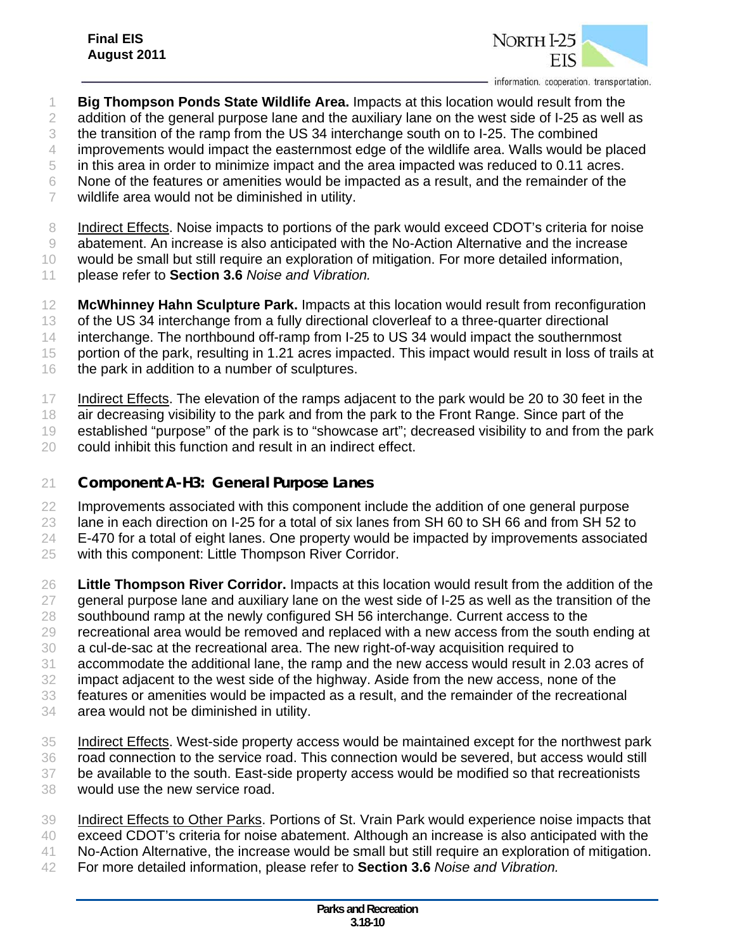

 **Big Thompson Ponds State Wildlife Area.** Impacts at this location would result from the addition of the general purpose lane and the auxiliary lane on the west side of I-25 as well as

 the transition of the ramp from the US 34 interchange south on to I-25. The combined improvements would impact the easternmost edge of the wildlife area. Walls would be placed

in this area in order to minimize impact and the area impacted was reduced to 0.11 acres.

None of the features or amenities would be impacted as a result, and the remainder of the

wildlife area would not be diminished in utility.

Indirect Effects. Noise impacts to portions of the park would exceed CDOT's criteria for noise

abatement. An increase is also anticipated with the No-Action Alternative and the increase

would be small but still require an exploration of mitigation. For more detailed information,

- please refer to **Section 3.6** *Noise and Vibration.*
- **McWhinney Hahn Sculpture Park.** Impacts at this location would result from reconfiguration

of the US 34 interchange from a fully directional cloverleaf to a three-quarter directional

interchange. The northbound off-ramp from I-25 to US 34 would impact the southernmost

- portion of the park, resulting in 1.21 acres impacted. This impact would result in loss of trails at
- 16 the park in addition to a number of sculptures.

Indirect Effects. The elevation of the ramps adjacent to the park would be 20 to 30 feet in the

- 18 air decreasing visibility to the park and from the park to the Front Range. Since part of the
- established "purpose" of the park is to "showcase art"; decreased visibility to and from the park
- could inhibit this function and result in an indirect effect.

## *Component A-H3: General Purpose Lanes*

Improvements associated with this component include the addition of one general purpose

lane in each direction on I-25 for a total of six lanes from SH 60 to SH 66 and from SH 52 to

- E-470 for a total of eight lanes. One property would be impacted by improvements associated
- with this component: Little Thompson River Corridor.
- **Little Thompson River Corridor.** Impacts at this location would result from the addition of the general purpose lane and auxiliary lane on the west side of I-25 as well as the transition of the 28 southbound ramp at the newly configured SH 56 interchange. Current access to the
- 
- recreational area would be removed and replaced with a new access from the south ending at a cul-de-sac at the recreational area. The new right-of-way acquisition required to
- accommodate the additional lane, the ramp and the new access would result in 2.03 acres of
- impact adjacent to the west side of the highway. Aside from the new access, none of the
- features or amenities would be impacted as a result, and the remainder of the recreational
- area would not be diminished in utility.
- Indirect Effects. West-side property access would be maintained except for the northwest park road connection to the service road. This connection would be severed, but access would still be available to the south. East-side property access would be modified so that recreationists would use the new service road.
- Indirect Effects to Other Parks. Portions of St. Vrain Park would experience noise impacts that exceed CDOT's criteria for noise abatement. Although an increase is also anticipated with the No-Action Alternative, the increase would be small but still require an exploration of mitigation. For more detailed information, please refer to **Section 3.6** *Noise and Vibration.*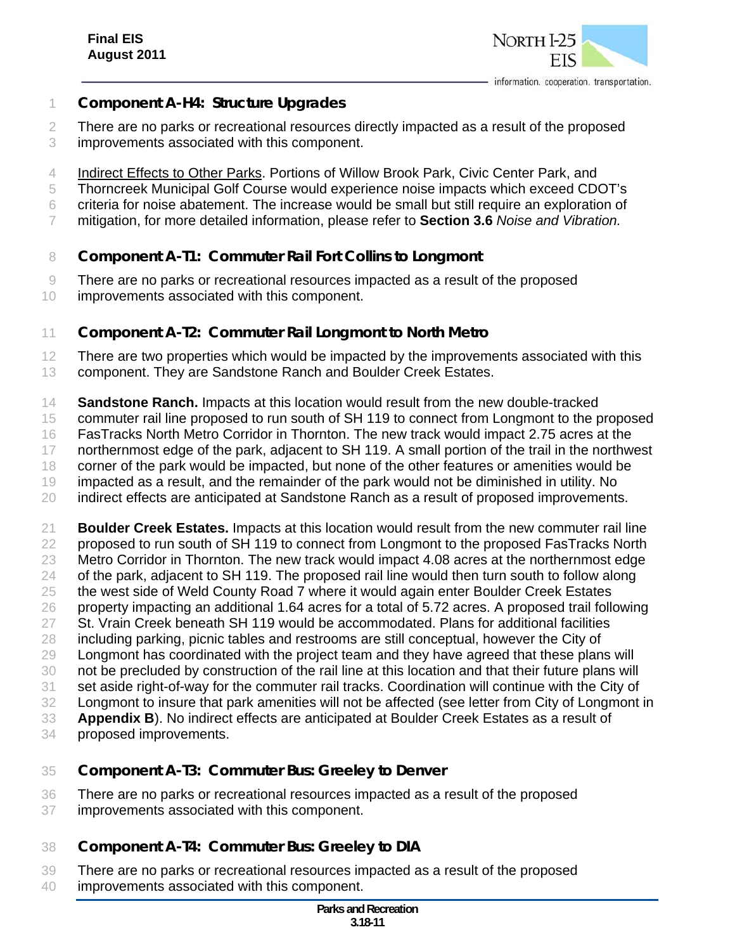

- *Component A-H4: Structure Upgrades*
- There are no parks or recreational resources directly impacted as a result of the proposed
- improvements associated with this component.
- Indirect Effects to Other Parks. Portions of Willow Brook Park, Civic Center Park, and
- Thorncreek Municipal Golf Course would experience noise impacts which exceed CDOT's
- criteria for noise abatement. The increase would be small but still require an exploration of
- mitigation, for more detailed information, please refer to **Section 3.6** *Noise and Vibration.*
- *Component A-T1: Commuter Rail Fort Collins to Longmont*
- There are no parks or recreational resources impacted as a result of the proposed
- improvements associated with this component.

#### *Component A-T2: Commuter Rail Longmont to North Metro*

- 12 There are two properties which would be impacted by the improvements associated with this
- component. They are Sandstone Ranch and Boulder Creek Estates.
- **Sandstone Ranch.** Impacts at this location would result from the new double-tracked
- commuter rail line proposed to run south of SH 119 to connect from Longmont to the proposed
- FasTracks North Metro Corridor in Thornton. The new track would impact 2.75 acres at the
- 17 northernmost edge of the park, adjacent to SH 119. A small portion of the trail in the northwest
- corner of the park would be impacted, but none of the other features or amenities would be
- impacted as a result, and the remainder of the park would not be diminished in utility. No
- indirect effects are anticipated at Sandstone Ranch as a result of proposed improvements.
- **Boulder Creek Estates.** Impacts at this location would result from the new commuter rail line proposed to run south of SH 119 to connect from Longmont to the proposed FasTracks North Metro Corridor in Thornton. The new track would impact 4.08 acres at the northernmost edge 24 of the park, adjacent to SH 119. The proposed rail line would then turn south to follow along the west side of Weld County Road 7 where it would again enter Boulder Creek Estates property impacting an additional 1.64 acres for a total of 5.72 acres. A proposed trail following St. Vrain Creek beneath SH 119 would be accommodated. Plans for additional facilities including parking, picnic tables and restrooms are still conceptual, however the City of Longmont has coordinated with the project team and they have agreed that these plans will not be precluded by construction of the rail line at this location and that their future plans will set aside right-of-way for the commuter rail tracks. Coordination will continue with the City of Longmont to insure that park amenities will not be affected (see letter from City of Longmont in **Appendix B**). No indirect effects are anticipated at Boulder Creek Estates as a result of proposed improvements.

#### *Component A-T3: Commuter Bus: Greeley to Denver*

- There are no parks or recreational resources impacted as a result of the proposed improvements associated with this component.
- *Component A-T4: Commuter Bus: Greeley to DIA*
- There are no parks or recreational resources impacted as a result of the proposed improvements associated with this component.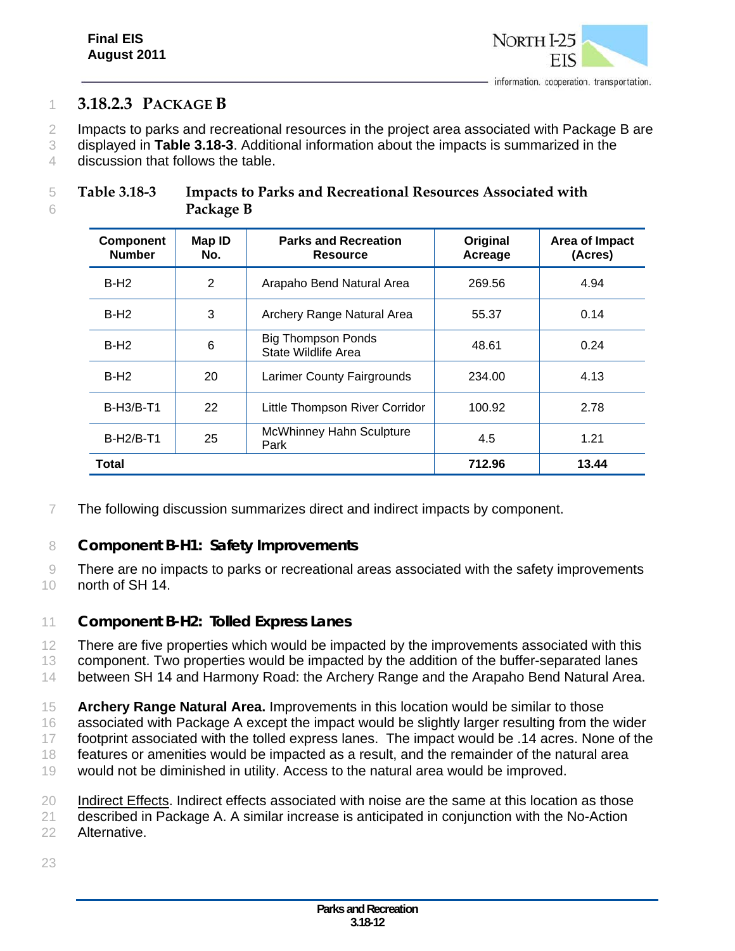

## 1 **3.18.2.3 PACKAGE B**

2 Impacts to parks and recreational resources in the project area associated with Package B are

3 displayed in **Table 3.18-3**. Additional information about the impacts is summarized in the 4 discussion that follows the table.

| Table 3.18-3 | <b>Impacts to Parks and Recreational Resources Associated with</b> |
|--------------|--------------------------------------------------------------------|
|              | Package B                                                          |

| <b>Component</b><br><b>Number</b> | Map ID<br>No. | <b>Parks and Recreation</b><br><b>Resource</b>   | Original<br>Acreage | Area of Impact<br>(Acres) |
|-----------------------------------|---------------|--------------------------------------------------|---------------------|---------------------------|
| $B-H2$                            | 2             | Arapaho Bend Natural Area                        | 269.56              | 4.94                      |
| $B-H2$                            | 3             | Archery Range Natural Area                       | 55.37               | 0.14                      |
| $B-H2$                            | 6             | <b>Big Thompson Ponds</b><br>State Wildlife Area | 48.61               | 0.24                      |
| $B-H2$                            | 20            | Larimer County Fairgrounds                       | 234.00              | 4.13                      |
| $B-H3/B-T1$                       | 22            | Little Thompson River Corridor                   | 100.92              | 2.78                      |
| <b>B-H2/B-T1</b>                  | 25            | <b>McWhinney Hahn Sculpture</b><br>Park          | 4.5                 | 1.21                      |
| Total                             |               |                                                  | 712.96              | 13.44                     |

7 The following discussion summarizes direct and indirect impacts by component.

#### 8 *Component B-H1: Safety Improvements*

9 There are no impacts to parks or recreational areas associated with the safety improvements 10 north of SH 14.

## 11 *Component B-H2: Tolled Express Lanes*

12 There are five properties which would be impacted by the improvements associated with this 13 component. Two properties would be impacted by the addition of the buffer-separated lanes 14 between SH 14 and Harmony Road: the Archery Range and the Arapaho Bend Natural Area.

15 **Archery Range Natural Area.** Improvements in this location would be similar to those 16 associated with Package A except the impact would be slightly larger resulting from the wider

17 footprint associated with the tolled express lanes. The impact would be .14 acres. None of the 18 features or amenities would be impacted as a result, and the remainder of the natural area

19 would not be diminished in utility. Access to the natural area would be improved.

20 Indirect Effects. Indirect effects associated with noise are the same at this location as those 21 described in Package A. A similar increase is anticipated in conjunction with the No-Action

22 Alternative.

23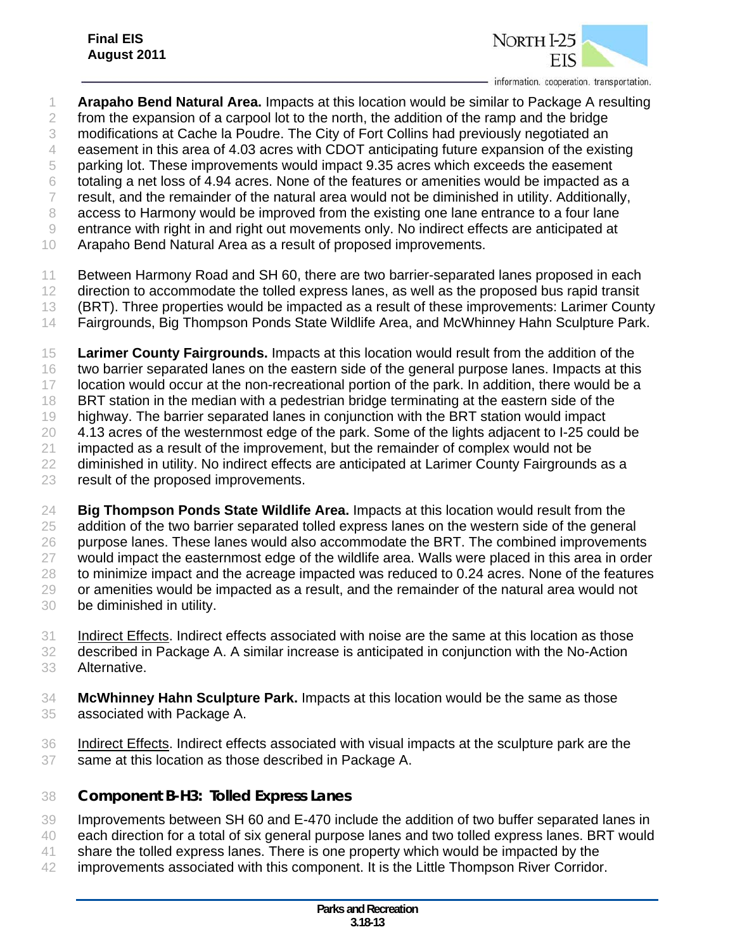

- **Arapaho Bend Natural Area.** Impacts at this location would be similar to Package A resulting from the expansion of a carpool lot to the north, the addition of the ramp and the bridge modifications at Cache la Poudre. The City of Fort Collins had previously negotiated an easement in this area of 4.03 acres with CDOT anticipating future expansion of the existing parking lot. These improvements would impact 9.35 acres which exceeds the easement totaling a net loss of 4.94 acres. None of the features or amenities would be impacted as a result, and the remainder of the natural area would not be diminished in utility. Additionally, access to Harmony would be improved from the existing one lane entrance to a four lane entrance with right in and right out movements only. No indirect effects are anticipated at Arapaho Bend Natural Area as a result of proposed improvements. Between Harmony Road and SH 60, there are two barrier-separated lanes proposed in each 12 direction to accommodate the tolled express lanes, as well as the proposed bus rapid transit (BRT). Three properties would be impacted as a result of these improvements: Larimer County Fairgrounds, Big Thompson Ponds State Wildlife Area, and McWhinney Hahn Sculpture Park. **Larimer County Fairgrounds.** Impacts at this location would result from the addition of the two barrier separated lanes on the eastern side of the general purpose lanes. Impacts at this location would occur at the non-recreational portion of the park. In addition, there would be a BRT station in the median with a pedestrian bridge terminating at the eastern side of the highway. The barrier separated lanes in conjunction with the BRT station would impact 4.13 acres of the westernmost edge of the park. Some of the lights adjacent to I-25 could be impacted as a result of the improvement, but the remainder of complex would not be diminished in utility. No indirect effects are anticipated at Larimer County Fairgrounds as a result of the proposed improvements.
- **Big Thompson Ponds State Wildlife Area.** Impacts at this location would result from the addition of the two barrier separated tolled express lanes on the western side of the general 26 purpose lanes. These lanes would also accommodate the BRT. The combined improvements would impact the easternmost edge of the wildlife area. Walls were placed in this area in order 28 to minimize impact and the acreage impacted was reduced to 0.24 acres. None of the features or amenities would be impacted as a result, and the remainder of the natural area would not be diminished in utility.
- Indirect Effects. Indirect effects associated with noise are the same at this location as those described in Package A. A similar increase is anticipated in conjunction with the No-Action Alternative.
- **McWhinney Hahn Sculpture Park.** Impacts at this location would be the same as those associated with Package A.
- Indirect Effects. Indirect effects associated with visual impacts at the sculpture park are the same at this location as those described in Package A.
- *Component B-H3: Tolled Express Lanes*
- Improvements between SH 60 and E-470 include the addition of two buffer separated lanes in
- each direction for a total of six general purpose lanes and two tolled express lanes. BRT would
- 41 share the tolled express lanes. There is one property which would be impacted by the
- improvements associated with this component. It is the Little Thompson River Corridor.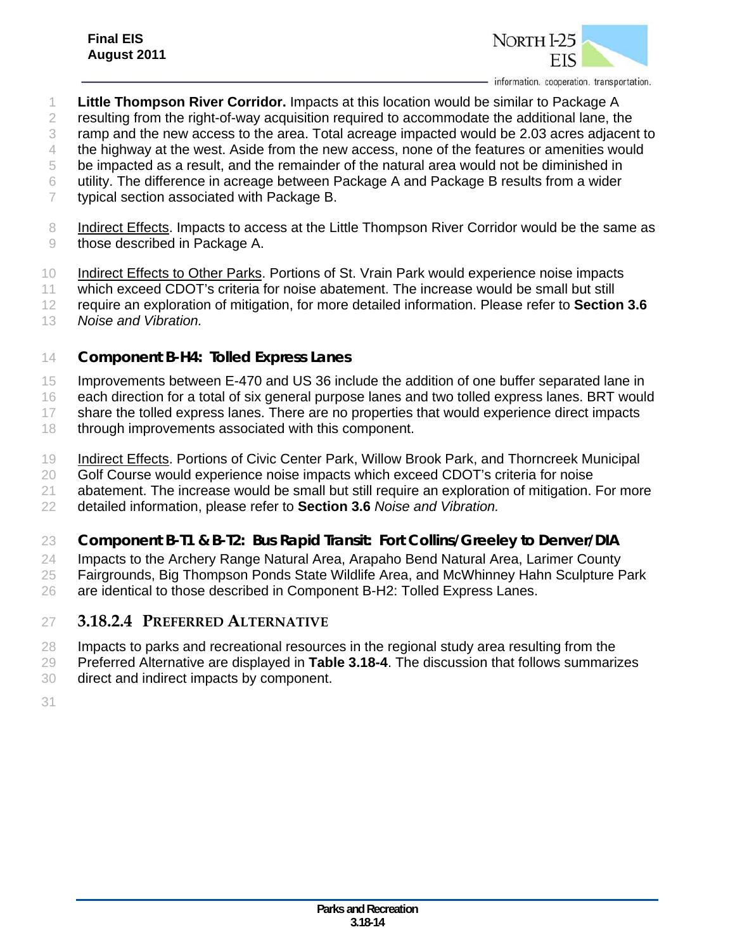

- **Little Thompson River Corridor.** Impacts at this location would be similar to Package A
- 2 resulting from the right-of-way acquisition required to accommodate the additional lane, the
- ramp and the new access to the area. Total acreage impacted would be 2.03 acres adjacent to

the highway at the west. Aside from the new access, none of the features or amenities would

be impacted as a result, and the remainder of the natural area would not be diminished in

- utility. The difference in acreage between Package A and Package B results from a wider
- typical section associated with Package B.
- 8 Indirect Effects. Impacts to access at the Little Thompson River Corridor would be the same as 9 those described in Package A.
- Indirect Effects to Other Parks. Portions of St. Vrain Park would experience noise impacts

which exceed CDOT's criteria for noise abatement. The increase would be small but still

- require an exploration of mitigation, for more detailed information. Please refer to **Section 3.6**
- *Noise and Vibration.*

## *Component B-H4: Tolled Express Lanes*

15 Improvements between E-470 and US 36 include the addition of one buffer separated lane in

each direction for a total of six general purpose lanes and two tolled express lanes. BRT would

17 share the tolled express lanes. There are no properties that would experience direct impacts

- 18 through improvements associated with this component.
- Indirect Effects. Portions of Civic Center Park, Willow Brook Park, and Thorncreek Municipal

20 Golf Course would experience noise impacts which exceed CDOT's criteria for noise

21 abatement. The increase would be small but still require an exploration of mitigation. For more

detailed information, please refer to **Section 3.6** *Noise and Vibration.*

## *Component B-T1 & B-T2: Bus Rapid Transit: Fort Collins/Greeley to Denver/DIA*

Impacts to the Archery Range Natural Area, Arapaho Bend Natural Area, Larimer County

Fairgrounds, Big Thompson Ponds State Wildlife Area, and McWhinney Hahn Sculpture Park

are identical to those described in Component B-H2: Tolled Express Lanes.

## **3.18.2.4 PREFERRED ALTERNATIVE**

- Impacts to parks and recreational resources in the regional study area resulting from the
- Preferred Alternative are displayed in **Table 3.18-4**. The discussion that follows summarizes
- direct and indirect impacts by component.
-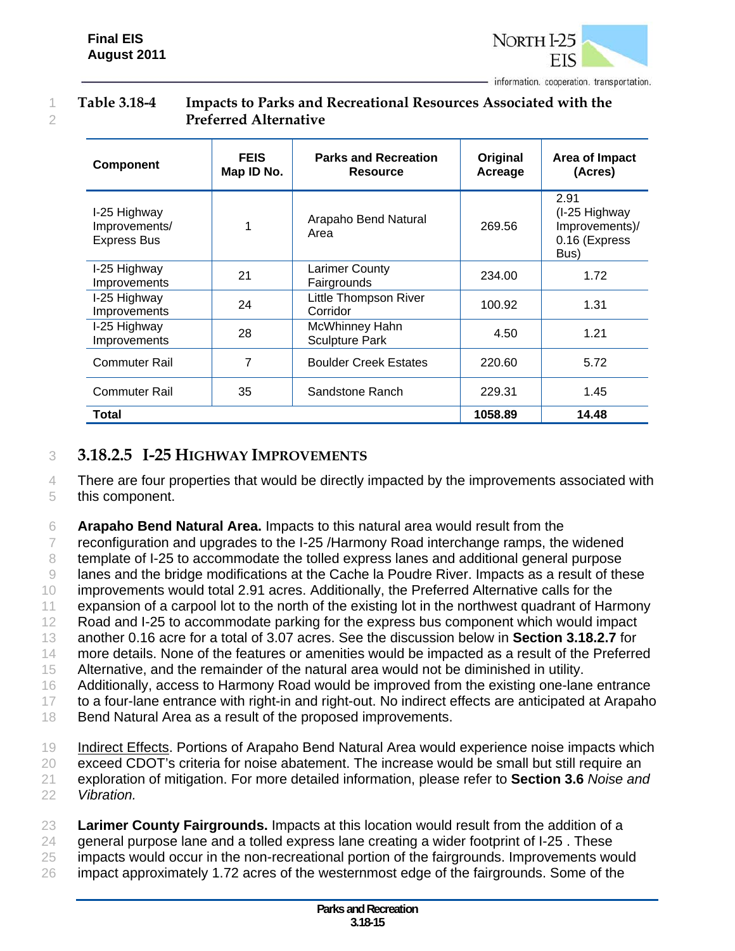

#### 1 **Table 3.18-4 Impacts to Parks and Recreational Resources Associated with the**  2 **Preferred Alternative**

| <b>Component</b>                                    | <b>FEIS</b><br>Map ID No. | <b>Parks and Recreation</b><br><b>Resource</b> | Original<br>Acreage | Area of Impact<br>(Acres)                                        |
|-----------------------------------------------------|---------------------------|------------------------------------------------|---------------------|------------------------------------------------------------------|
| I-25 Highway<br>Improvements/<br><b>Express Bus</b> |                           | Arapaho Bend Natural<br>Area                   | 269.56              | 2.91<br>(I-25 Highway<br>Improvements)/<br>0.16 (Express<br>Bus) |
| I-25 Highway<br>Improvements                        | 21                        | <b>Larimer County</b><br>Fairgrounds           | 234.00              | 1.72                                                             |
| I-25 Highway<br>Improvements                        | 24                        | Little Thompson River<br>Corridor              | 100.92              | 1.31                                                             |
| I-25 Highway<br>Improvements                        | 28                        | McWhinney Hahn<br><b>Sculpture Park</b>        | 4.50                | 1.21                                                             |
| <b>Commuter Rail</b>                                | 7                         | <b>Boulder Creek Estates</b>                   | 220.60              | 5.72                                                             |
| <b>Commuter Rail</b>                                | 35                        | Sandstone Ranch                                | 229.31              | 1.45                                                             |
| Total                                               |                           |                                                | 1058.89             | 14.48                                                            |

## 3 **3.18.2.5 I-25 HIGHWAY IMPROVEMENTS**

4 There are four properties that would be directly impacted by the improvements associated with 5 this component.

6 **Arapaho Bend Natural Area.** Impacts to this natural area would result from the

7 reconfiguration and upgrades to the I-25 /Harmony Road interchange ramps, the widened

8 template of I-25 to accommodate the tolled express lanes and additional general purpose

9 lanes and the bridge modifications at the Cache la Poudre River. Impacts as a result of these

10 improvements would total 2.91 acres. Additionally, the Preferred Alternative calls for the

11 expansion of a carpool lot to the north of the existing lot in the northwest quadrant of Harmony

12 Road and I-25 to accommodate parking for the express bus component which would impact

13 another 0.16 acre for a total of 3.07 acres. See the discussion below in **Section 3.18.2.7** for

14 more details. None of the features or amenities would be impacted as a result of the Preferred

15 Alternative, and the remainder of the natural area would not be diminished in utility.

16 Additionally, access to Harmony Road would be improved from the existing one-lane entrance

17 to a four-lane entrance with right-in and right-out. No indirect effects are anticipated at Arapaho

18 Bend Natural Area as a result of the proposed improvements.

19 Indirect Effects. Portions of Arapaho Bend Natural Area would experience noise impacts which

20 exceed CDOT's criteria for noise abatement. The increase would be small but still require an

21 exploration of mitigation. For more detailed information, please refer to **Section 3.6** *Noise and* 

22 *Vibration.*

23 **Larimer County Fairgrounds.** Impacts at this location would result from the addition of a

 $24$  general purpose lane and a tolled express lane creating a wider footprint of I-25. These

25 impacts would occur in the non-recreational portion of the fairgrounds. Improvements would

26 impact approximately 1.72 acres of the westernmost edge of the fairgrounds. Some of the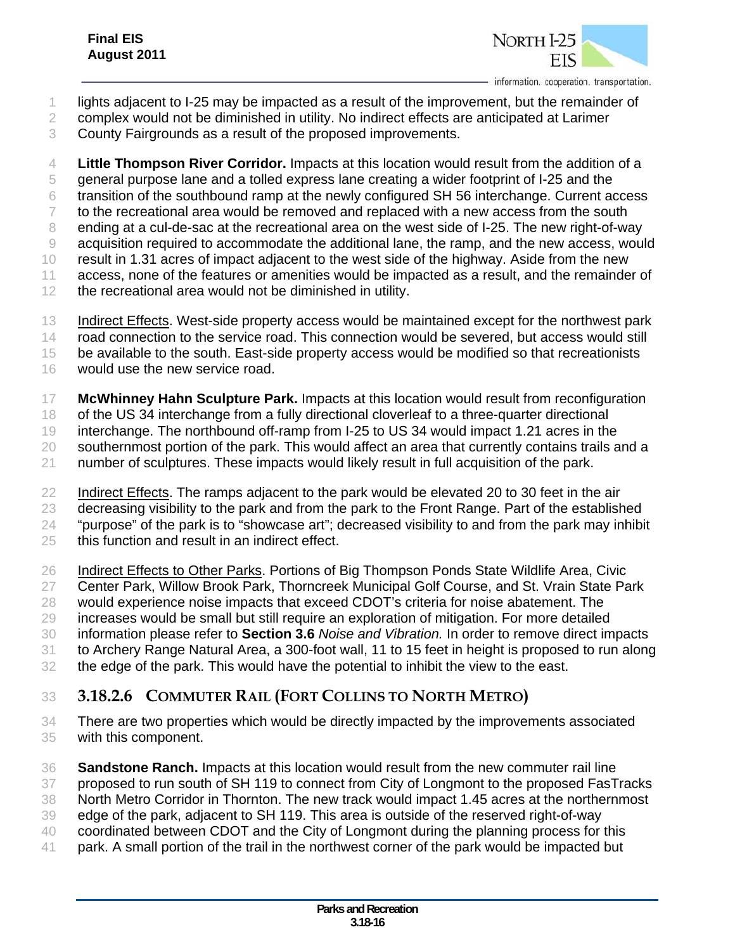

- lights adjacent to I-25 may be impacted as a result of the improvement, but the remainder of
- complex would not be diminished in utility. No indirect effects are anticipated at Larimer
- County Fairgrounds as a result of the proposed improvements.

 **Little Thompson River Corridor.** Impacts at this location would result from the addition of a general purpose lane and a tolled express lane creating a wider footprint of I-25 and the transition of the southbound ramp at the newly configured SH 56 interchange. Current access 7 to the recreational area would be removed and replaced with a new access from the south ending at a cul-de-sac at the recreational area on the west side of I-25. The new right-of-way acquisition required to accommodate the additional lane, the ramp, and the new access, would result in 1.31 acres of impact adjacent to the west side of the highway. Aside from the new access, none of the features or amenities would be impacted as a result, and the remainder of the recreational area would not be diminished in utility.

- 13 Indirect Effects. West-side property access would be maintained except for the northwest park 14 road connection to the service road. This connection would be severed, but access would still be available to the south. East-side property access would be modified so that recreationists
- would use the new service road.
- **McWhinney Hahn Sculpture Park.** Impacts at this location would result from reconfiguration

18 of the US 34 interchange from a fully directional cloverleaf to a three-quarter directional

 interchange. The northbound off-ramp from I-25 to US 34 would impact 1.21 acres in the southernmost portion of the park. This would affect an area that currently contains trails and a

number of sculptures. These impacts would likely result in full acquisition of the park.

22 Indirect Effects. The ramps adjacent to the park would be elevated 20 to 30 feet in the air

23 decreasing visibility to the park and from the park to the Front Range. Part of the established

"purpose" of the park is to "showcase art"; decreased visibility to and from the park may inhibit

- this function and result in an indirect effect.
- 26 Indirect Effects to Other Parks. Portions of Big Thompson Ponds State Wildlife Area, Civic
- 27 Center Park, Willow Brook Park, Thorncreek Municipal Golf Course, and St. Vrain State Park
- would experience noise impacts that exceed CDOT's criteria for noise abatement. The
- increases would be small but still require an exploration of mitigation. For more detailed
- information please refer to **Section 3.6** *Noise and Vibration.* In order to remove direct impacts to Archery Range Natural Area, a 300-foot wall, 11 to 15 feet in height is proposed to run along
- the edge of the park. This would have the potential to inhibit the view to the east.
- 
- **3.18.2.6 COMMUTER RAIL (FORT COLLINS TO NORTH METRO)**
- There are two properties which would be directly impacted by the improvements associated with this component.

 **Sandstone Ranch.** Impacts at this location would result from the new commuter rail line 37 proposed to run south of SH 119 to connect from City of Longmont to the proposed FasTracks North Metro Corridor in Thornton. The new track would impact 1.45 acres at the northernmost edge of the park, adjacent to SH 119. This area is outside of the reserved right-of-way coordinated between CDOT and the City of Longmont during the planning process for this park. A small portion of the trail in the northwest corner of the park would be impacted but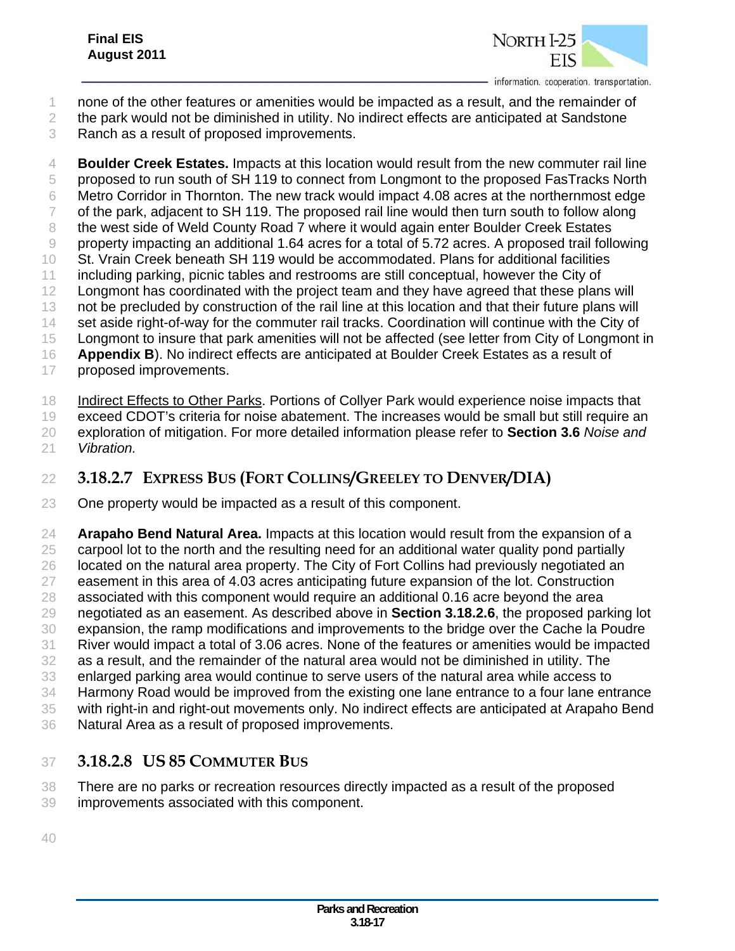

- none of the other features or amenities would be impacted as a result, and the remainder of
- the park would not be diminished in utility. No indirect effects are anticipated at Sandstone
- Ranch as a result of proposed improvements.

 **Boulder Creek Estates.** Impacts at this location would result from the new commuter rail line proposed to run south of SH 119 to connect from Longmont to the proposed FasTracks North Metro Corridor in Thornton. The new track would impact 4.08 acres at the northernmost edge 7 of the park, adjacent to SH 119. The proposed rail line would then turn south to follow along 8 the west side of Weld County Road 7 where it would again enter Boulder Creek Estates property impacting an additional 1.64 acres for a total of 5.72 acres. A proposed trail following St. Vrain Creek beneath SH 119 would be accommodated. Plans for additional facilities including parking, picnic tables and restrooms are still conceptual, however the City of 12 Longmont has coordinated with the project team and they have agreed that these plans will 13 not be precluded by construction of the rail line at this location and that their future plans will 14 set aside right-of-way for the commuter rail tracks. Coordination will continue with the City of 15 Longmont to insure that park amenities will not be affected (see letter from City of Longmont in **Appendix B**). No indirect effects are anticipated at Boulder Creek Estates as a result of proposed improvements.

Indirect Effects to Other Parks. Portions of Collyer Park would experience noise impacts that

- exceed CDOT's criteria for noise abatement. The increases would be small but still require an exploration of mitigation. For more detailed information please refer to **Section 3.6** *Noise and*
- *Vibration.*

## **3.18.2.7 EXPRESS BUS (FORT COLLINS/GREELEY TO DENVER/DIA)**

One property would be impacted as a result of this component.

 **Arapaho Bend Natural Area.** Impacts at this location would result from the expansion of a 25 carpool lot to the north and the resulting need for an additional water quality pond partially 26 located on the natural area property. The City of Fort Collins had previously negotiated an easement in this area of 4.03 acres anticipating future expansion of the lot. Construction associated with this component would require an additional 0.16 acre beyond the area negotiated as an easement. As described above in **Section 3.18.2.6**, the proposed parking lot expansion, the ramp modifications and improvements to the bridge over the Cache la Poudre River would impact a total of 3.06 acres. None of the features or amenities would be impacted as a result, and the remainder of the natural area would not be diminished in utility. The enlarged parking area would continue to serve users of the natural area while access to Harmony Road would be improved from the existing one lane entrance to a four lane entrance with right-in and right-out movements only. No indirect effects are anticipated at Arapaho Bend

Natural Area as a result of proposed improvements.

## **3.18.2.8 US 85 COMMUTER BUS**

- There are no parks or recreation resources directly impacted as a result of the proposed
- improvements associated with this component.
-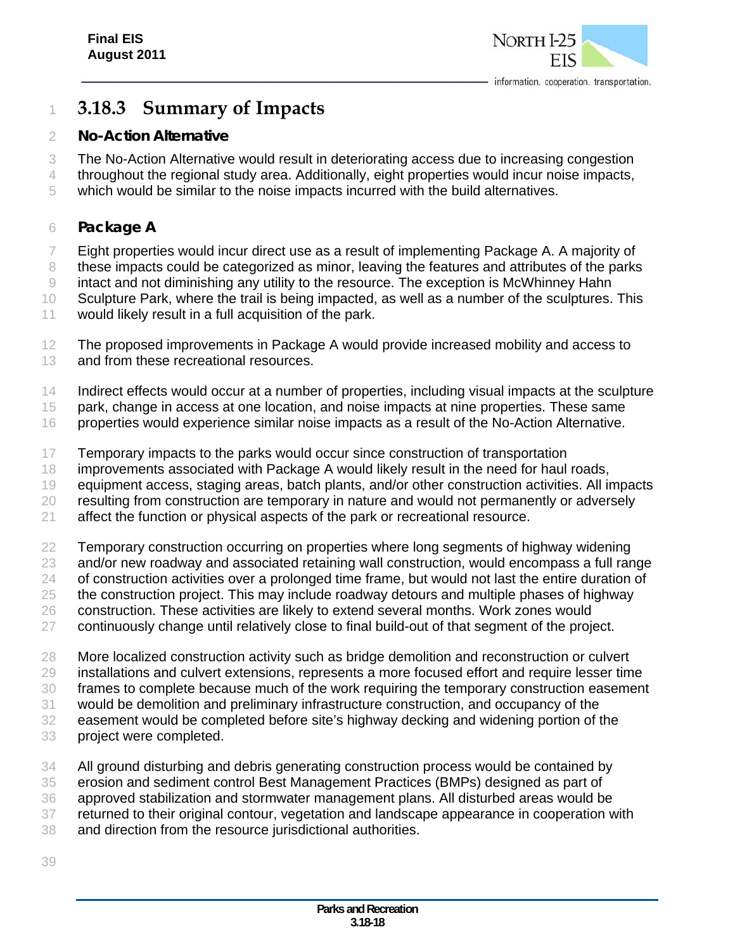

## **3.18.3 Summary of Impacts**

#### *No-Action Alternative*

The No-Action Alternative would result in deteriorating access due to increasing congestion

- throughout the regional study area. Additionally, eight properties would incur noise impacts,
- which would be similar to the noise impacts incurred with the build alternatives.

#### *Package A*

Eight properties would incur direct use as a result of implementing Package A. A majority of

these impacts could be categorized as minor, leaving the features and attributes of the parks

intact and not diminishing any utility to the resource. The exception is McWhinney Hahn

Sculpture Park, where the trail is being impacted, as well as a number of the sculptures. This

- would likely result in a full acquisition of the park.
- The proposed improvements in Package A would provide increased mobility and access to 13 and from these recreational resources.
- 14 Indirect effects would occur at a number of properties, including visual impacts at the sculpture

park, change in access at one location, and noise impacts at nine properties. These same

- 16 properties would experience similar noise impacts as a result of the No-Action Alternative.
- Temporary impacts to the parks would occur since construction of transportation
- 18 improvements associated with Package A would likely result in the need for haul roads,

equipment access, staging areas, batch plants, and/or other construction activities. All impacts

20 resulting from construction are temporary in nature and would not permanently or adversely

affect the function or physical aspects of the park or recreational resource.

Temporary construction occurring on properties where long segments of highway widening

- and/or new roadway and associated retaining wall construction, would encompass a full range
- of construction activities over a prolonged time frame, but would not last the entire duration of
- the construction project. This may include roadway detours and multiple phases of highway construction. These activities are likely to extend several months. Work zones would
- continuously change until relatively close to final build-out of that segment of the project.
- More localized construction activity such as bridge demolition and reconstruction or culvert installations and culvert extensions, represents a more focused effort and require lesser time

frames to complete because much of the work requiring the temporary construction easement

would be demolition and preliminary infrastructure construction, and occupancy of the

- easement would be completed before site's highway decking and widening portion of the
- project were completed.
- All ground disturbing and debris generating construction process would be contained by erosion and sediment control Best Management Practices (BMPs) designed as part of approved stabilization and stormwater management plans. All disturbed areas would be
- returned to their original contour, vegetation and landscape appearance in cooperation with
- and direction from the resource jurisdictional authorities.
-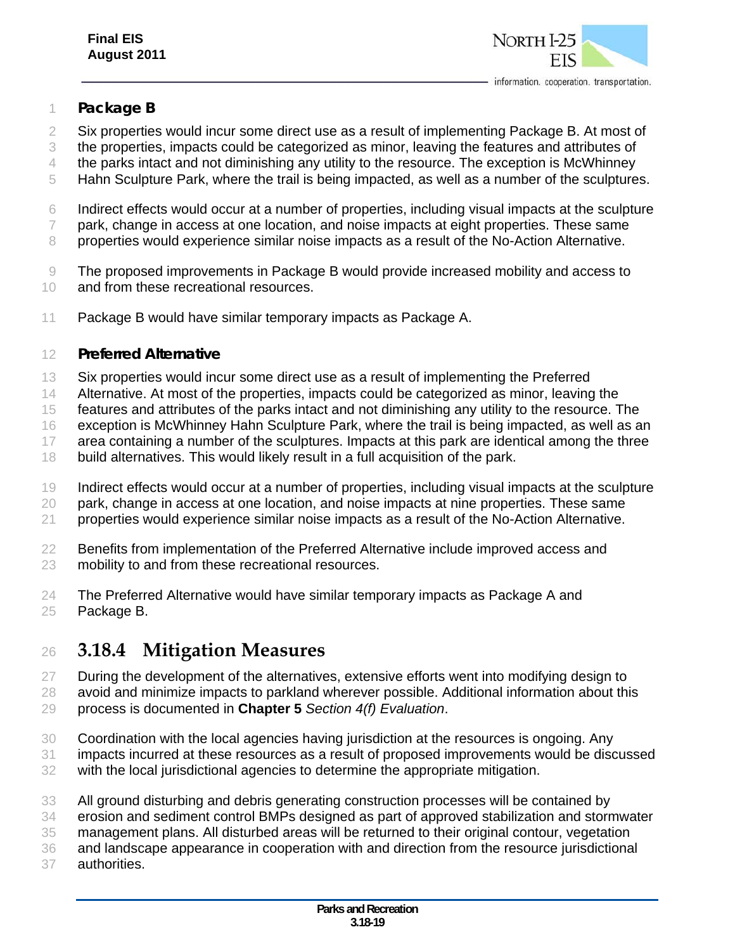

#### *Package B*

- 2 Six properties would incur some direct use as a result of implementing Package B. At most of
- the properties, impacts could be categorized as minor, leaving the features and attributes of
- 4 the parks intact and not diminishing any utility to the resource. The exception is McWhinney
- Hahn Sculpture Park, where the trail is being impacted, as well as a number of the sculptures.
- Indirect effects would occur at a number of properties, including visual impacts at the sculpture
- park, change in access at one location, and noise impacts at eight properties. These same
- properties would experience similar noise impacts as a result of the No-Action Alternative.
- The proposed improvements in Package B would provide increased mobility and access to and from these recreational resources.
- Package B would have similar temporary impacts as Package A.

#### *Preferred Alternative*

- Six properties would incur some direct use as a result of implementing the Preferred
- Alternative. At most of the properties, impacts could be categorized as minor, leaving the
- features and attributes of the parks intact and not diminishing any utility to the resource. The
- exception is McWhinney Hahn Sculpture Park, where the trail is being impacted, as well as an
- 17 area containing a number of the sculptures. Impacts at this park are identical among the three
- build alternatives. This would likely result in a full acquisition of the park.
- Indirect effects would occur at a number of properties, including visual impacts at the sculpture
- park, change in access at one location, and noise impacts at nine properties. These same
- 21 properties would experience similar noise impacts as a result of the No-Action Alternative.
- Benefits from implementation of the Preferred Alternative include improved access and
- mobility to and from these recreational resources.
- The Preferred Alternative would have similar temporary impacts as Package A and Package B.

## **3.18.4 Mitigation Measures**

- During the development of the alternatives, extensive efforts went into modifying design to
- 28 avoid and minimize impacts to parkland wherever possible. Additional information about this process is documented in **Chapter 5** *Section 4(f) Evaluation*.
- Coordination with the local agencies having jurisdiction at the resources is ongoing. Any impacts incurred at these resources as a result of proposed improvements would be discussed
- with the local jurisdictional agencies to determine the appropriate mitigation.
- All ground disturbing and debris generating construction processes will be contained by
- erosion and sediment control BMPs designed as part of approved stabilization and stormwater
- management plans. All disturbed areas will be returned to their original contour, vegetation
- and landscape appearance in cooperation with and direction from the resource jurisdictional
- authorities.